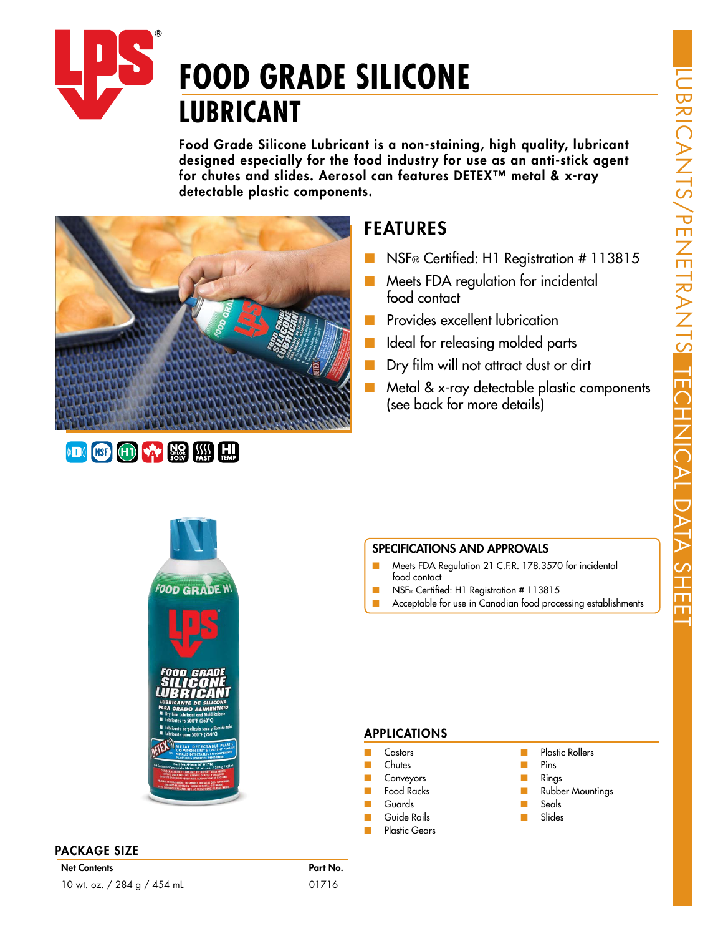

Food Grade Silicone Lubricant is a non-staining, high quality, lubricant designed especially for the food industry for use as an anti-stick agent for chutes and slides. Aerosol can features DETEX™ metal & x-ray detectable plastic components.



### FEATURES

- NSF® Certified: H1 Registration # 113815
- Meets FDA regulation for incidental food contact
- Provides excellent lubrication
- Ideal for releasing molded parts
- Dry film will not attract dust or dirt
- Metal & x-ray detectable plastic components (see back for more details)



#### PACKAGE SIZE

#### SPECIFICATIONS AND APPROVALS

- Meets FDA Regulation 21 C.F.R. 178.3570 for incidental food contact
- NSF® Certified: H1 Registration # 113815
- Acceptable for use in Canadian food processing establishments

#### APPLICATIONS

- **Castors**
- **Chutes**
- **Conveyors**
- Food Racks
- Guards
- Guide Rails **Plastic Gears**
- Plastic Rollers
- Pins
	- Rings
	- **Rubber Mountings**
- **Seals**
- **Slides**